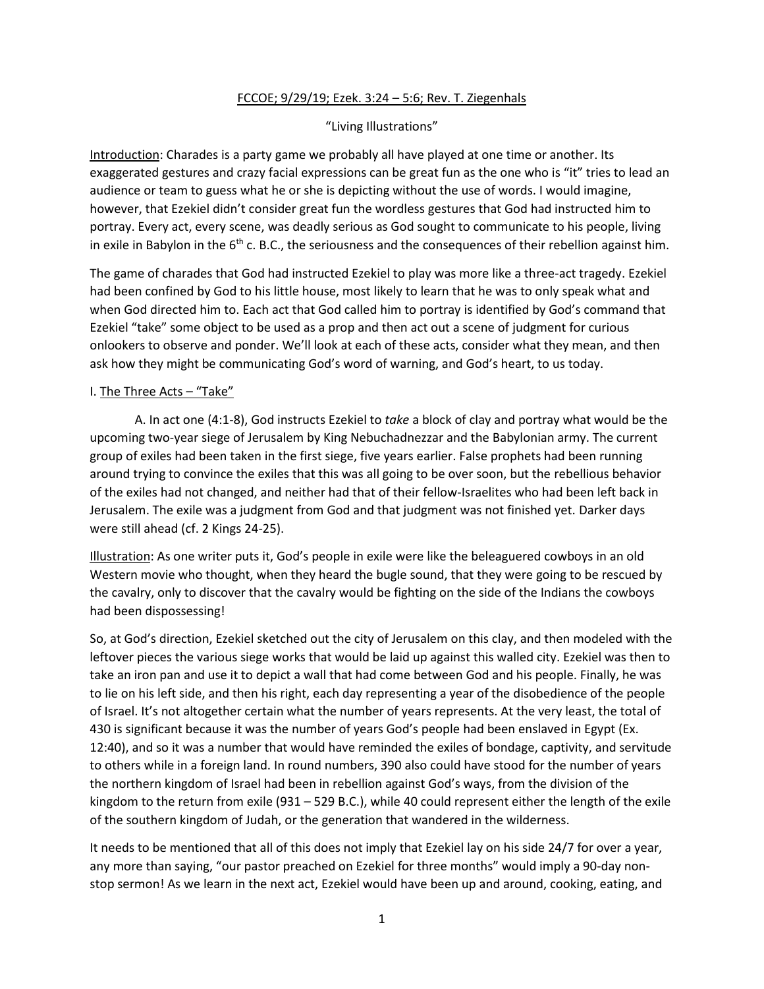## FCCOE; 9/29/19; Ezek. 3:24 – 5:6; Rev. T. Ziegenhals

## "Living Illustrations"

Introduction: Charades is a party game we probably all have played at one time or another. Its exaggerated gestures and crazy facial expressions can be great fun as the one who is "it" tries to lead an audience or team to guess what he or she is depicting without the use of words. I would imagine, however, that Ezekiel didn't consider great fun the wordless gestures that God had instructed him to portray. Every act, every scene, was deadly serious as God sought to communicate to his people, living in exile in Babylon in the  $6<sup>th</sup>$  c. B.C., the seriousness and the consequences of their rebellion against him.

The game of charades that God had instructed Ezekiel to play was more like a three-act tragedy. Ezekiel had been confined by God to his little house, most likely to learn that he was to only speak what and when God directed him to. Each act that God called him to portray is identified by God's command that Ezekiel "take" some object to be used as a prop and then act out a scene of judgment for curious onlookers to observe and ponder. We'll look at each of these acts, consider what they mean, and then ask how they might be communicating God's word of warning, and God's heart, to us today.

## I. The Three Acts – "Take"

A. In act one (4:1-8), God instructs Ezekiel to *take* a block of clay and portray what would be the upcoming two-year siege of Jerusalem by King Nebuchadnezzar and the Babylonian army. The current group of exiles had been taken in the first siege, five years earlier. False prophets had been running around trying to convince the exiles that this was all going to be over soon, but the rebellious behavior of the exiles had not changed, and neither had that of their fellow-Israelites who had been left back in Jerusalem. The exile was a judgment from God and that judgment was not finished yet. Darker days were still ahead (cf. 2 Kings 24-25).

Illustration: As one writer puts it, God's people in exile were like the beleaguered cowboys in an old Western movie who thought, when they heard the bugle sound, that they were going to be rescued by the cavalry, only to discover that the cavalry would be fighting on the side of the Indians the cowboys had been dispossessing!

So, at God's direction, Ezekiel sketched out the city of Jerusalem on this clay, and then modeled with the leftover pieces the various siege works that would be laid up against this walled city. Ezekiel was then to take an iron pan and use it to depict a wall that had come between God and his people. Finally, he was to lie on his left side, and then his right, each day representing a year of the disobedience of the people of Israel. It's not altogether certain what the number of years represents. At the very least, the total of 430 is significant because it was the number of years God's people had been enslaved in Egypt (Ex. 12:40), and so it was a number that would have reminded the exiles of bondage, captivity, and servitude to others while in a foreign land. In round numbers, 390 also could have stood for the number of years the northern kingdom of Israel had been in rebellion against God's ways, from the division of the kingdom to the return from exile (931 – 529 B.C.), while 40 could represent either the length of the exile of the southern kingdom of Judah, or the generation that wandered in the wilderness.

It needs to be mentioned that all of this does not imply that Ezekiel lay on his side 24/7 for over a year, any more than saying, "our pastor preached on Ezekiel for three months" would imply a 90-day nonstop sermon! As we learn in the next act, Ezekiel would have been up and around, cooking, eating, and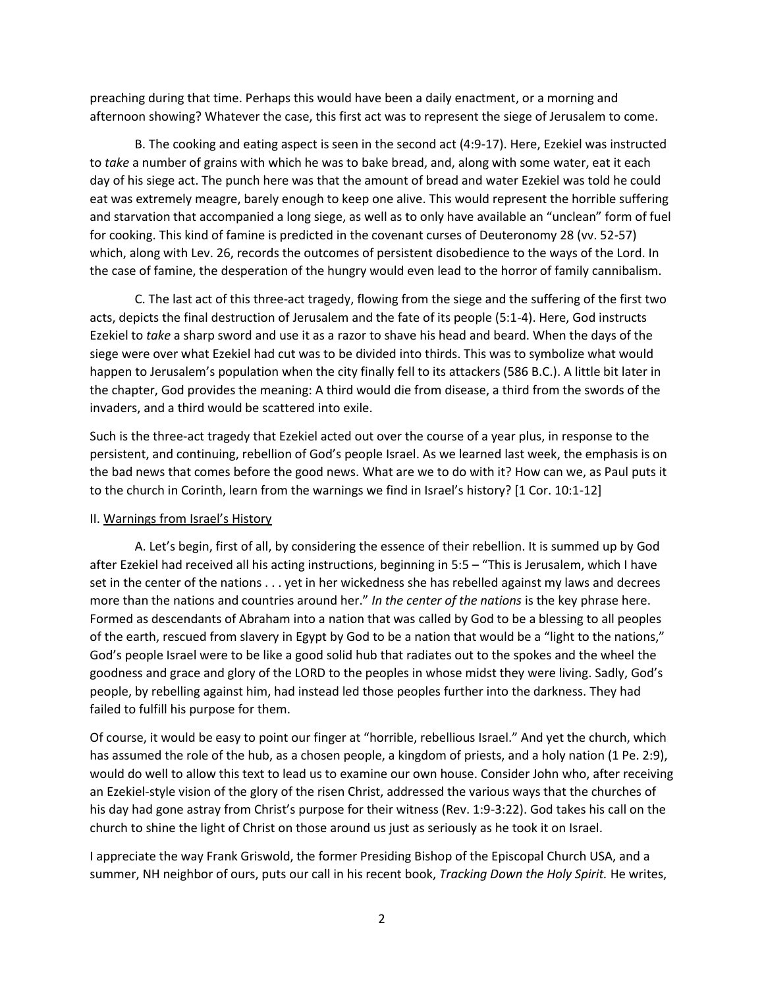preaching during that time. Perhaps this would have been a daily enactment, or a morning and afternoon showing? Whatever the case, this first act was to represent the siege of Jerusalem to come.

B. The cooking and eating aspect is seen in the second act (4:9-17). Here, Ezekiel was instructed to *take* a number of grains with which he was to bake bread, and, along with some water, eat it each day of his siege act. The punch here was that the amount of bread and water Ezekiel was told he could eat was extremely meagre, barely enough to keep one alive. This would represent the horrible suffering and starvation that accompanied a long siege, as well as to only have available an "unclean" form of fuel for cooking. This kind of famine is predicted in the covenant curses of Deuteronomy 28 (vv. 52-57) which, along with Lev. 26, records the outcomes of persistent disobedience to the ways of the Lord. In the case of famine, the desperation of the hungry would even lead to the horror of family cannibalism.

C. The last act of this three-act tragedy, flowing from the siege and the suffering of the first two acts, depicts the final destruction of Jerusalem and the fate of its people (5:1-4). Here, God instructs Ezekiel to *take* a sharp sword and use it as a razor to shave his head and beard. When the days of the siege were over what Ezekiel had cut was to be divided into thirds. This was to symbolize what would happen to Jerusalem's population when the city finally fell to its attackers (586 B.C.). A little bit later in the chapter, God provides the meaning: A third would die from disease, a third from the swords of the invaders, and a third would be scattered into exile.

Such is the three-act tragedy that Ezekiel acted out over the course of a year plus, in response to the persistent, and continuing, rebellion of God's people Israel. As we learned last week, the emphasis is on the bad news that comes before the good news. What are we to do with it? How can we, as Paul puts it to the church in Corinth, learn from the warnings we find in Israel's history? [1 Cor. 10:1-12]

## II. Warnings from Israel's History

A. Let's begin, first of all, by considering the essence of their rebellion. It is summed up by God after Ezekiel had received all his acting instructions, beginning in 5:5 – "This is Jerusalem, which I have set in the center of the nations . . . yet in her wickedness she has rebelled against my laws and decrees more than the nations and countries around her." *In the center of the nations* is the key phrase here. Formed as descendants of Abraham into a nation that was called by God to be a blessing to all peoples of the earth, rescued from slavery in Egypt by God to be a nation that would be a "light to the nations," God's people Israel were to be like a good solid hub that radiates out to the spokes and the wheel the goodness and grace and glory of the LORD to the peoples in whose midst they were living. Sadly, God's people, by rebelling against him, had instead led those peoples further into the darkness. They had failed to fulfill his purpose for them.

Of course, it would be easy to point our finger at "horrible, rebellious Israel." And yet the church, which has assumed the role of the hub, as a chosen people, a kingdom of priests, and a holy nation (1 Pe. 2:9), would do well to allow this text to lead us to examine our own house. Consider John who, after receiving an Ezekiel-style vision of the glory of the risen Christ, addressed the various ways that the churches of his day had gone astray from Christ's purpose for their witness (Rev. 1:9-3:22). God takes his call on the church to shine the light of Christ on those around us just as seriously as he took it on Israel.

I appreciate the way Frank Griswold, the former Presiding Bishop of the Episcopal Church USA, and a summer, NH neighbor of ours, puts our call in his recent book, *Tracking Down the Holy Spirit.* He writes,